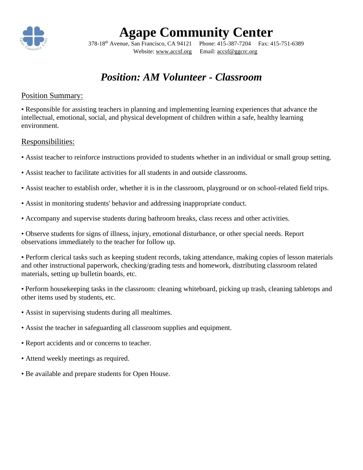

# **Agape Community Center**

Website: [www.accsf.org](http://www.accsf.org/) Email: [accsf@g](mailto:accsf@sbcglobal.net)gcrc.org

378-18th Avenue, San Francisco, CA 94121 Phone: 415-387-7204 Fax: 415-751-6389

### *Position: AM Volunteer - Classroom*

#### Position Summary:

• Responsible for assisting teachers in planning and implementing learning experiences that advance the intellectual, emotional, social, and physical development of children within a safe, healthy learning environment.

#### Responsibilities:

- Assist teacher to reinforce instructions provided to students whether in an individual or small group setting.
- Assist teacher to facilitate activities for all students in and outside classrooms.
- Assist teacher to establish order, whether it is in the classroom, playground or on school-related field trips.
- Assist in monitoring students' behavior and addressing inappropriate conduct.
- Accompany and supervise students during bathroom breaks, class recess and other activities.
- Observe students for signs of illness, injury, emotional disturbance, or other special needs. Report observations immediately to the teacher for follow up.

• Perform clerical tasks such as keeping student records, taking attendance, making copies of lesson materials and other instructional paperwork, checking/grading tests and homework, distributing classroom related materials, setting up bulletin boards, etc.

• Perform housekeeping tasks in the classroom: cleaning whiteboard, picking up trash, cleaning tabletops and other items used by students, etc.

- Assist in supervising students during all mealtimes.
- Assist the teacher in safeguarding all classroom supplies and equipment.
- Report accidents and or concerns to teacher.
- Attend weekly meetings as required.
- Be available and prepare students for Open House.